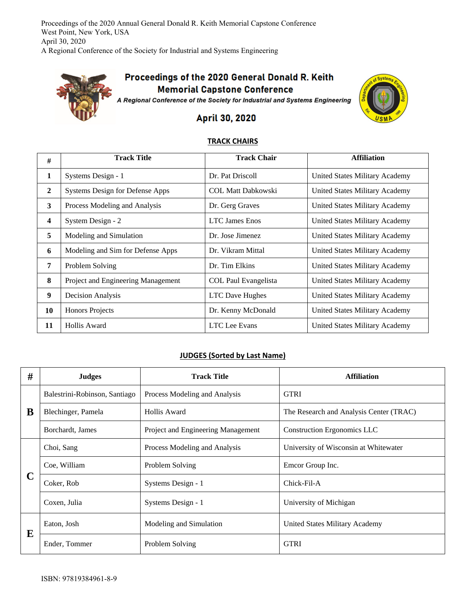Proceedings of the 2020 Annual General Donald R. Keith Memorial Capstone Conference West Point, New York, USA April 30, 2020 A Regional Conference of the Society for Industrial and Systems Engineering



## Proceedings of the 2020 General Donald R. Keith **Memorial Capstone Conference**

A Regional Conference of the Society for Industrial and Systems Engineering



## April 30, 2020

## **TRACK CHAIRS**

| #            | <b>Track Title</b>                 | <b>Track Chair</b>          | <b>Affiliation</b>             |
|--------------|------------------------------------|-----------------------------|--------------------------------|
| 1            | Systems Design - 1                 | Dr. Pat Driscoll            | United States Military Academy |
| $\mathbf{2}$ | Systems Design for Defense Apps    | <b>COL Matt Dabkowski</b>   | United States Military Academy |
| 3            | Process Modeling and Analysis      | Dr. Gerg Graves             | United States Military Academy |
| 4            | System Design - 2                  | <b>LTC</b> James Enos       | United States Military Academy |
| 5            | Modeling and Simulation            | Dr. Jose Jimenez            | United States Military Academy |
| 6            | Modeling and Sim for Defense Apps  | Dr. Vikram Mittal           | United States Military Academy |
| 7            | Problem Solving                    | Dr. Tim Elkins              | United States Military Academy |
| 8            | Project and Engineering Management | <b>COL Paul Evangelista</b> | United States Military Academy |
| 9            | Decision Analysis                  | <b>LTC</b> Dave Hughes      | United States Military Academy |
| 10           | <b>Honors Projects</b>             | Dr. Kenny McDonald          | United States Military Academy |
| 11           | Hollis Award                       | LTC Lee Evans               | United States Military Academy |

## **JUDGES (Sorted by Last Name)**

| # | <b>Judges</b>                 | <b>Track Title</b>                 | <b>Affiliation</b>                      |
|---|-------------------------------|------------------------------------|-----------------------------------------|
| B | Balestrini-Robinson, Santiago | Process Modeling and Analysis      | <b>GTRI</b>                             |
|   | Blechinger, Pamela            | Hollis Award                       | The Research and Analysis Center (TRAC) |
|   | Borchardt, James              | Project and Engineering Management | <b>Construction Ergonomics LLC</b>      |
| C | Choi, Sang                    | Process Modeling and Analysis      | University of Wisconsin at Whitewater   |
|   | Coe, William                  | Problem Solving                    | Emcor Group Inc.                        |
|   | Coker, Rob                    | Systems Design - 1                 | Chick-Fil-A                             |
|   | Coxen, Julia                  | Systems Design - 1                 | University of Michigan                  |
| E | Eaton, Josh                   | Modeling and Simulation            | United States Military Academy          |
|   | Ender, Tommer                 | Problem Solving                    | <b>GTRI</b>                             |